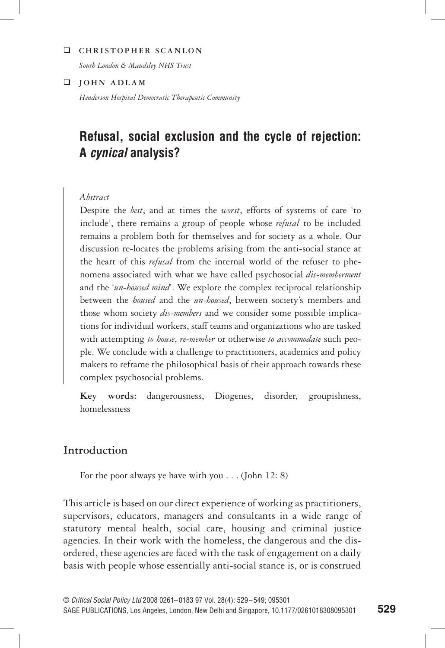#### **CHRISTOPHER SCANLON**

*South London & Maudsley NHS Trust*

#### **J O H N A D L A M**

*Henderson Hospital Democratic Therapeutic Community*

# **Refusal, social exclusion and the cycle of rejection: A** *cynical* **analysis?**

### *Abstract*

Despite the *best*, and at times the *worst*, efforts of systems of care 'to include', there remains a group of people whose *refusal* to be included remains a problem both for themselves and for society as a whole. Our discussion re-locates the problems arising from the anti-social stance at the heart of this *refusal* from the internal world of the refuser to phenomena associated with what we have called psychosocial *dis-memberment* and the '*un-housed mind*'. We explore the complex reciprocal relationship between the *housed* and the *un-housed*, between society's members and those whom society *dis-members* and we consider some possible implications for individual workers, staff teams and organizations who are tasked with attempting *to house*, *re-member* or otherwise *to accommodate* such people. We conclude with a challenge to practitioners, academics and policy makers to reframe the philosophical basis of their approach towards these complex psychosocial problems.

**Key words:** dangerousness, Diogenes, disorder, groupishness, homelessness

# **Introduction**

For the poor always ye have with you . . . (John 12: 8)

This article is based on our direct experience of working as practitioners, supervisors, educators, managers and consultants in a wide range of statutory mental health, social care, housing and criminal justice agencies. In their work with the homeless, the dangerous and the disordered, these agencies are faced with the task of engagement on a daily basis with people whose essentially anti-social stance is, or is construed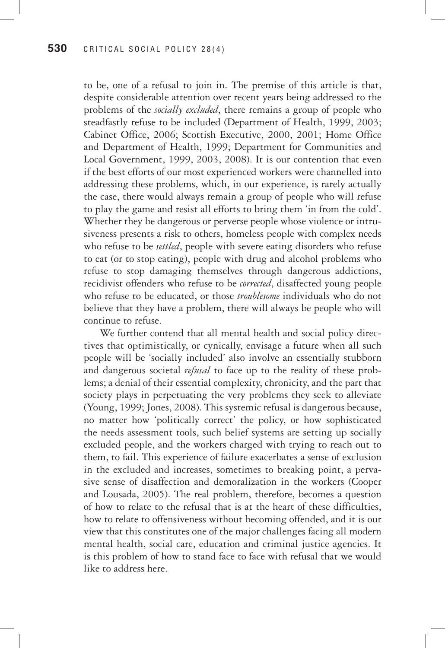to be, one of a refusal to join in. The premise of this article is that, despite considerable attention over recent years being addressed to the problems of the *socially excluded*, there remains a group of people who steadfastly refuse to be included (Department of Health, 1999, 2003; Cabinet Office, 2006; Scottish Executive, 2000, 2001; Home Office and Department of Health, 1999; Department for Communities and Local Government, 1999, 2003, 2008). It is our contention that even if the best efforts of our most experienced workers were channelled into addressing these problems, which, in our experience, is rarely actually the case, there would always remain a group of people who will refuse to play the game and resist all efforts to bring them 'in from the cold'. Whether they be dangerous or perverse people whose violence or intrusiveness presents a risk to others, homeless people with complex needs who refuse to be *settled*, people with severe eating disorders who refuse to eat (or to stop eating), people with drug and alcohol problems who refuse to stop damaging themselves through dangerous addictions, recidivist offenders who refuse to be *corrected*, disaffected young people who refuse to be educated, or those *troublesome* individuals who do not believe that they have a problem, there will always be people who will continue to refuse.

We further contend that all mental health and social policy directives that optimistically, or cynically, envisage a future when all such people will be 'socially included' also involve an essentially stubborn and dangerous societal *refusal* to face up to the reality of these problems; a denial of their essential complexity, chronicity, and the part that society plays in perpetuating the very problems they seek to alleviate (Young, 1999; Jones, 2008). This systemic refusal is dangerous because, no matter how 'politically correct' the policy, or how sophisticated the needs assessment tools, such belief systems are setting up socially excluded people, and the workers charged with trying to reach out to them, to fail. This experience of failure exacerbates a sense of exclusion in the excluded and increases, sometimes to breaking point, a pervasive sense of disaffection and demoralization in the workers (Cooper and Lousada, 2005). The real problem, therefore, becomes a question of how to relate to the refusal that is at the heart of these difficulties, how to relate to offensiveness without becoming offended, and it is our view that this constitutes one of the major challenges facing all modern mental health, social care, education and criminal justice agencies. It is this problem of how to stand face to face with refusal that we would like to address here.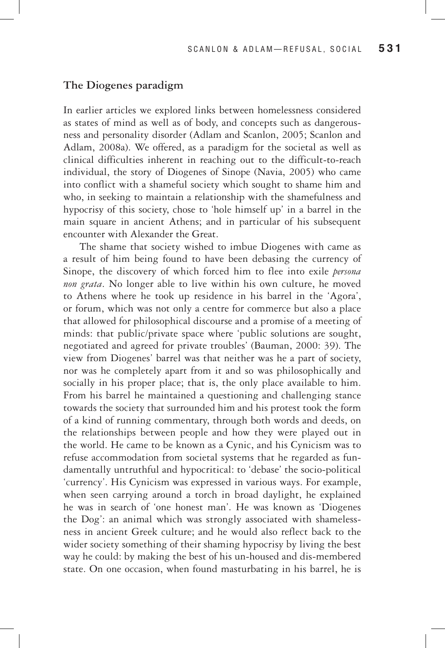#### **The Diogenes paradigm**

In earlier articles we explored links between homelessness considered as states of mind as well as of body, and concepts such as dangerousness and personality disorder (Adlam and Scanlon, 2005; Scanlon and Adlam, 2008a). We offered, as a paradigm for the societal as well as clinical difficulties inherent in reaching out to the difficult-to-reach individual, the story of Diogenes of Sinope (Navia, 2005) who came into conflict with a shameful society which sought to shame him and who, in seeking to maintain a relationship with the shamefulness and hypocrisy of this society, chose to 'hole himself up' in a barrel in the main square in ancient Athens; and in particular of his subsequent encounter with Alexander the Great.

The shame that society wished to imbue Diogenes with came as a result of him being found to have been debasing the currency of Sinope, the discovery of which forced him to flee into exile *persona non grata*. No longer able to live within his own culture, he moved to Athens where he took up residence in his barrel in the 'Agora', or forum, which was not only a centre for commerce but also a place that allowed for philosophical discourse and a promise of a meeting of minds: that public/private space where 'public solutions are sought, negotiated and agreed for private troubles' (Bauman, 2000: 39). The view from Diogenes' barrel was that neither was he a part of society, nor was he completely apart from it and so was philosophically and socially in his proper place; that is, the only place available to him. From his barrel he maintained a questioning and challenging stance towards the society that surrounded him and his protest took the form of a kind of running commentary, through both words and deeds, on the relationships between people and how they were played out in the world. He came to be known as a Cynic, and his Cynicism was to refuse accommodation from societal systems that he regarded as fundamentally untruthful and hypocritical: to 'debase' the socio-political 'currency'. His Cynicism was expressed in various ways. For example, when seen carrying around a torch in broad daylight, he explained he was in search of 'one honest man'. He was known as 'Diogenes the Dog': an animal which was strongly associated with shamelessness in ancient Greek culture; and he would also reflect back to the wider society something of their shaming hypocrisy by living the best way he could: by making the best of his un-housed and dis-membered state. On one occasion, when found masturbating in his barrel, he is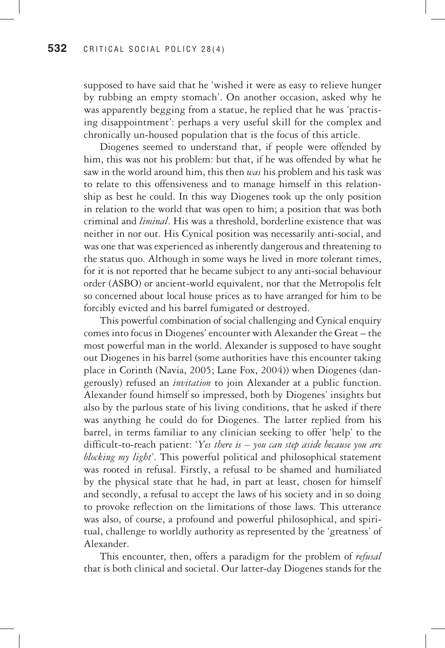supposed to have said that he 'wished it were as easy to relieve hunger by rubbing an empty stomach'. On another occasion, asked why he was apparently begging from a statue, he replied that he was 'practising disappointment': perhaps a very useful skill for the complex and chronically un-housed population that is the focus of this article.

Diogenes seemed to understand that, if people were offended by him, this was not his problem: but that, if he was offended by what he saw in the world around him, this then *was* his problem and his task was to relate to this offensiveness and to manage himself in this relationship as best he could. In this way Diogenes took up the only position in relation to the world that was open to him; a position that was both criminal and *liminal*. His was a threshold, borderline existence that was neither in nor out. His Cynical position was necessarily anti-social, and was one that was experienced as inherently dangerous and threatening to the status quo. Although in some ways he lived in more tolerant times, for it is not reported that he became subject to any anti-social behaviour order (ASBO) or ancient-world equivalent, nor that the Metropolis felt so concerned about local house prices as to have arranged for him to be forcibly evicted and his barrel fumigated or destroyed.

This powerful combination of social challenging and Cynical enquiry comes into focus in Diogenes' encounter with Alexander the Great – the most powerful man in the world. Alexander is supposed to have sought out Diogenes in his barrel (some authorities have this encounter taking place in Corinth (Navia, 2005; Lane Fox, 2004)) when Diogenes (dangerously) refused an *invitation* to join Alexander at a public function. Alexander found himself so impressed, both by Diogenes' insights but also by the parlous state of his living conditions, that he asked if there was anything he could do for Diogenes. The latter replied from his barrel, in terms familiar to any clinician seeking to offer 'help' to the difficult-to-reach patient: '*Yes there is – you can step aside because you are blocking my light'*. This powerful political and philosophical statement was rooted in refusal. Firstly, a refusal to be shamed and humiliated by the physical state that he had, in part at least, chosen for himself and secondly, a refusal to accept the laws of his society and in so doing to provoke reflection on the limitations of those laws. This utterance was also, of course, a profound and powerful philosophical, and spiritual, challenge to worldly authority as represented by the 'greatness' of Alexander.

This encounter, then, offers a paradigm for the problem of *refusal* that is both clinical and societal. Our latter-day Diogenes stands for the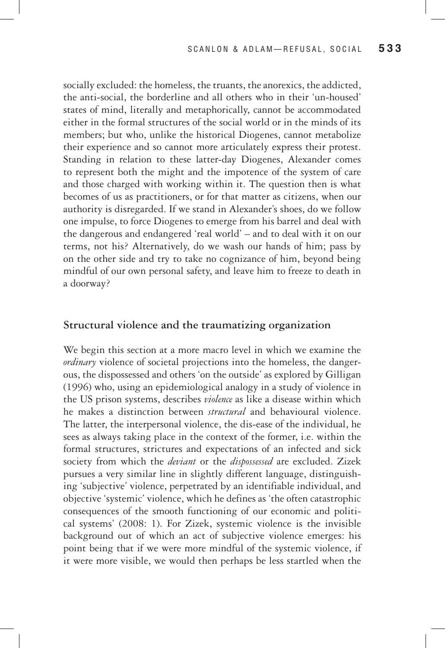socially excluded: the homeless, the truants, the anorexics, the addicted, the anti-social, the borderline and all others who in their 'un-housed' states of mind, literally and metaphorically, cannot be accommodated either in the formal structures of the social world or in the minds of its members; but who, unlike the historical Diogenes, cannot metabolize their experience and so cannot more articulately express their protest. Standing in relation to these latter-day Diogenes, Alexander comes to represent both the might and the impotence of the system of care and those charged with working within it. The question then is what becomes of us as practitioners, or for that matter as citizens, when our authority is disregarded. If we stand in Alexander's shoes, do we follow one impulse, to force Diogenes to emerge from his barrel and deal with the dangerous and endangered 'real world' – and to deal with it on our terms, not his? Alternatively, do we wash our hands of him; pass by on the other side and try to take no cognizance of him, beyond being mindful of our own personal safety, and leave him to freeze to death in a doorway?

## **Structural violence and the traumatizing organization**

We begin this section at a more macro level in which we examine the *ordinary* violence of societal projections into the homeless, the dangerous, the dispossessed and others 'on the outside' as explored by Gilligan (1996) who, using an epidemiological analogy in a study of violence in the US prison systems, describes *violence* as like a disease within which he makes a distinction between *structural* and behavioural violence. The latter, the interpersonal violence, the dis-ease of the individual, he sees as always taking place in the context of the former, i.e. within the formal structures, strictures and expectations of an infected and sick society from which the *deviant* or the *dispossessed* are excluded. Zizek pursues a very similar line in slightly different language, distinguishing 'subjective' violence, perpetrated by an identifiable individual, and objective 'systemic' violence, which he defines as 'the often catastrophic consequences of the smooth functioning of our economic and political systems' (2008: 1). For Zizek, systemic violence is the invisible background out of which an act of subjective violence emerges: his point being that if we were more mindful of the systemic violence, if it were more visible, we would then perhaps be less startled when the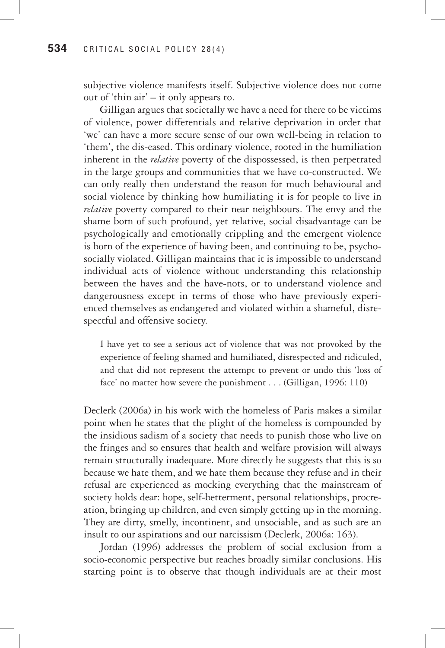subjective violence manifests itself. Subjective violence does not come out of 'thin air' – it only appears to.

Gilligan argues that societally we have a need for there to be victims of violence, power differentials and relative deprivation in order that 'we' can have a more secure sense of our own well-being in relation to 'them', the dis-eased. This ordinary violence, rooted in the humiliation inherent in the *relative* poverty of the dispossessed, is then perpetrated in the large groups and communities that we have co-constructed. We can only really then understand the reason for much behavioural and social violence by thinking how humiliating it is for people to live in *relative* poverty compared to their near neighbours. The envy and the shame born of such profound, yet relative, social disadvantage can be psychologically and emotionally crippling and the emergent violence is born of the experience of having been, and continuing to be, psychosocially violated. Gilligan maintains that it is impossible to understand individual acts of violence without understanding this relationship between the haves and the have-nots, or to understand violence and dangerousness except in terms of those who have previously experienced themselves as endangered and violated within a shameful, disrespectful and offensive society.

I have yet to see a serious act of violence that was not provoked by the experience of feeling shamed and humiliated, disrespected and ridiculed, and that did not represent the attempt to prevent or undo this 'loss of face' no matter how severe the punishment . . . (Gilligan, 1996: 110)

Declerk (2006a) in his work with the homeless of Paris makes a similar point when he states that the plight of the homeless is compounded by the insidious sadism of a society that needs to punish those who live on the fringes and so ensures that health and welfare provision will always remain structurally inadequate. More directly he suggests that this is so because we hate them, and we hate them because they refuse and in their refusal are experienced as mocking everything that the mainstream of society holds dear: hope, self-betterment, personal relationships, procreation, bringing up children, and even simply getting up in the morning. They are dirty, smelly, incontinent, and unsociable, and as such are an insult to our aspirations and our narcissism (Declerk, 2006a: 163).

Jordan (1996) addresses the problem of social exclusion from a socio-economic perspective but reaches broadly similar conclusions. His starting point is to observe that though individuals are at their most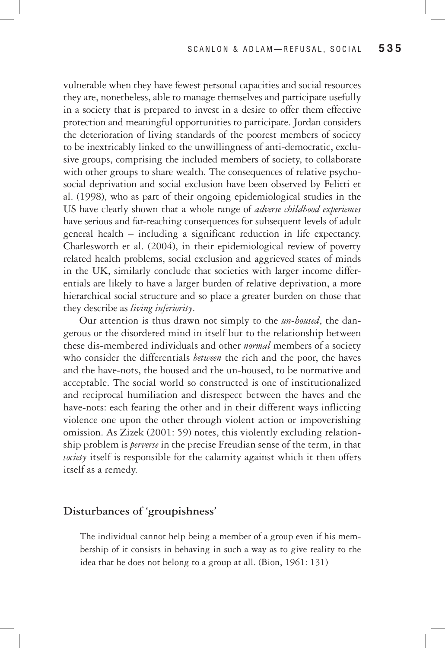vulnerable when they have fewest personal capacities and social resources they are, nonetheless, able to manage themselves and participate usefully in a society that is prepared to invest in a desire to offer them effective protection and meaningful opportunities to participate. Jordan considers the deterioration of living standards of the poorest members of society to be inextricably linked to the unwillingness of anti-democratic, exclusive groups, comprising the included members of society, to collaborate with other groups to share wealth. The consequences of relative psychosocial deprivation and social exclusion have been observed by Felitti et al. (1998), who as part of their ongoing epidemiological studies in the US have clearly shown that a whole range of *adverse childhood experiences* have serious and far-reaching consequences for subsequent levels of adult general health – including a significant reduction in life expectancy. Charlesworth et al. (2004), in their epidemiological review of poverty related health problems, social exclusion and aggrieved states of minds in the UK, similarly conclude that societies with larger income differentials are likely to have a larger burden of relative deprivation, a more hierarchical social structure and so place a greater burden on those that they describe as *living inferiority*.

Our attention is thus drawn not simply to the *un-housed*, the dangerous or the disordered mind in itself but to the relationship between these dis-membered individuals and other *normal* members of a society who consider the differentials *between* the rich and the poor, the haves and the have-nots, the housed and the un-housed, to be normative and acceptable. The social world so constructed is one of institutionalized and reciprocal humiliation and disrespect between the haves and the have-nots: each fearing the other and in their different ways inflicting violence one upon the other through violent action or impoverishing omission. As Zizek (2001: 59) notes, this violently excluding relationship problem is *perverse* in the precise Freudian sense of the term, in that *society* itself is responsible for the calamity against which it then offers itself as a remedy.

## **Disturbances of 'groupishness'**

The individual cannot help being a member of a group even if his membership of it consists in behaving in such a way as to give reality to the idea that he does not belong to a group at all. (Bion, 1961: 131)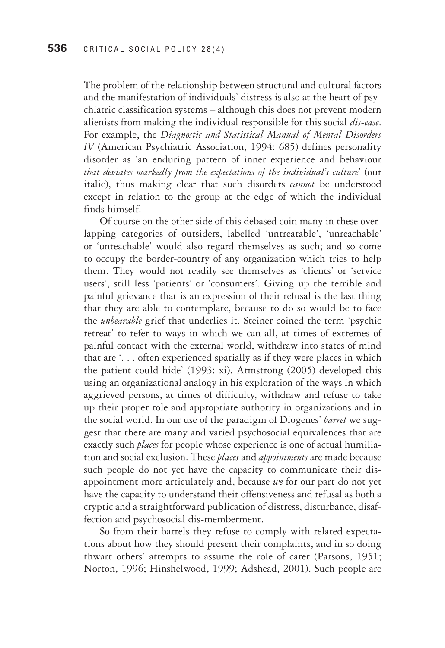The problem of the relationship between structural and cultural factors and the manifestation of individuals' distress is also at the heart of psychiatric classification systems – although this does not prevent modern alienists from making the individual responsible for this social *dis-ease*. For example, the *Diagnostic and Statistical Manual of Mental Disorders IV* (American Psychiatric Association, 1994: 685) defines personality disorder as 'an enduring pattern of inner experience and behaviour *that deviates markedly from the expectations of the individual's culture*' (our italic), thus making clear that such disorders *cannot* be understood except in relation to the group at the edge of which the individual finds himself.

Of course on the other side of this debased coin many in these overlapping categories of outsiders, labelled 'untreatable', 'unreachable' or 'unteachable' would also regard themselves as such; and so come to occupy the border-country of any organization which tries to help them. They would not readily see themselves as 'clients' or 'service users', still less 'patients' or 'consumers'. Giving up the terrible and painful grievance that is an expression of their refusal is the last thing that they are able to contemplate, because to do so would be to face the *unbearable* grief that underlies it. Steiner coined the term 'psychic retreat' to refer to ways in which we can all, at times of extremes of painful contact with the external world, withdraw into states of mind that are '. . . often experienced spatially as if they were places in which the patient could hide' (1993: xi). Armstrong (2005) developed this using an organizational analogy in his exploration of the ways in which aggrieved persons, at times of difficulty, withdraw and refuse to take up their proper role and appropriate authority in organizations and in the social world. In our use of the paradigm of Diogenes' *barrel* we suggest that there are many and varied psychosocial equivalences that are exactly such *places* for people whose experience is one of actual humiliation and social exclusion. These *places* and *appointments* are made because such people do not yet have the capacity to communicate their disappointment more articulately and, because *we* for our part do not yet have the capacity to understand their offensiveness and refusal as both a cryptic and a straightforward publication of distress, disturbance, disaffection and psychosocial dis-memberment.

So from their barrels they refuse to comply with related expectations about how they should present their complaints, and in so doing thwart others' attempts to assume the role of carer (Parsons, 1951; Norton, 1996; Hinshelwood, 1999; Adshead, 2001). Such people are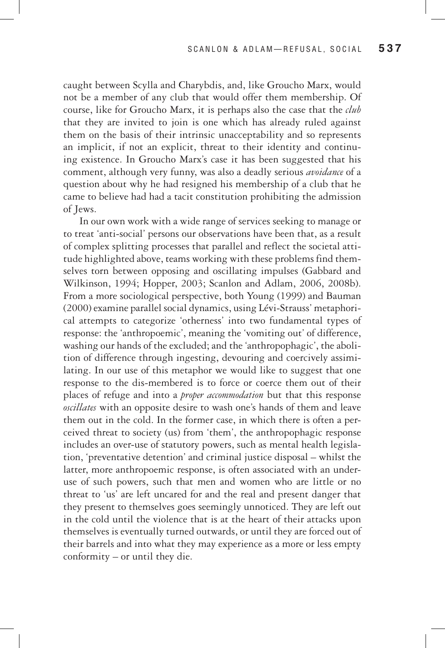caught between Scylla and Charybdis, and, like Groucho Marx, would not be a member of any club that would offer them membership. Of course, like for Groucho Marx, it is perhaps also the case that the *club* that they are invited to join is one which has already ruled against them on the basis of their intrinsic unacceptability and so represents an implicit, if not an explicit, threat to their identity and continuing existence. In Groucho Marx's case it has been suggested that his comment, although very funny, was also a deadly serious *avoidance* of a question about why he had resigned his membership of a club that he came to believe had had a tacit constitution prohibiting the admission of Jews.

In our own work with a wide range of services seeking to manage or to treat 'anti-social' persons our observations have been that, as a result of complex splitting processes that parallel and reflect the societal attitude highlighted above, teams working with these problems find themselves torn between opposing and oscillating impulses (Gabbard and Wilkinson, 1994; Hopper, 2003; Scanlon and Adlam, 2006, 2008b). From a more sociological perspective, both Young (1999) and Bauman (2000) examine parallel social dynamics, using Lévi-Strauss' metaphorical attempts to categorize 'otherness' into two fundamental types of response: the 'anthropoemic', meaning the 'vomiting out' of difference, washing our hands of the excluded; and the 'anthropophagic', the abolition of difference through ingesting, devouring and coercively assimilating. In our use of this metaphor we would like to suggest that one response to the dis-membered is to force or coerce them out of their places of refuge and into a *proper accommodation* but that this response *oscillates* with an opposite desire to wash one's hands of them and leave them out in the cold. In the former case, in which there is often a perceived threat to society (us) from 'them', the anthropophagic response includes an over-use of statutory powers, such as mental health legislation, 'preventative detention' and criminal justice disposal – whilst the latter, more anthropoemic response, is often associated with an underuse of such powers, such that men and women who are little or no threat to 'us' are left uncared for and the real and present danger that they present to themselves goes seemingly unnoticed. They are left out in the cold until the violence that is at the heart of their attacks upon themselves is eventually turned outwards, or until they are forced out of their barrels and into what they may experience as a more or less empty conformity – or until they die.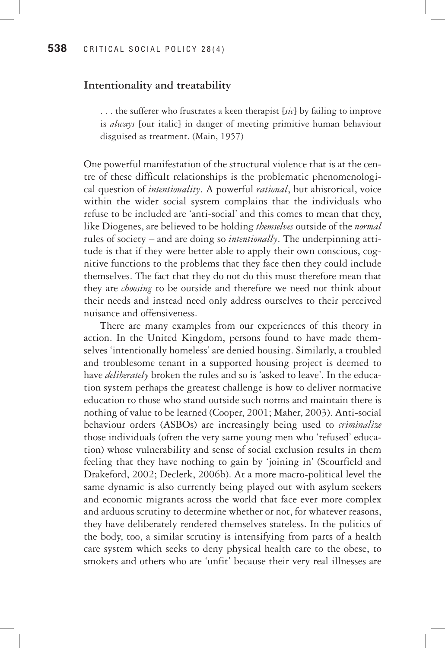## **Intentionality and treatability**

. . . the sufferer who frustrates a keen therapist [*sic*] by failing to improve is *always* [our italic] in danger of meeting primitive human behaviour disguised as treatment. (Main, 1957)

One powerful manifestation of the structural violence that is at the centre of these difficult relationships is the problematic phenomenological question of *intentionality*. A powerful *rational*, but ahistorical, voice within the wider social system complains that the individuals who refuse to be included are 'anti-social' and this comes to mean that they, like Diogenes, are believed to be holding *themselves* outside of the *normal* rules of society – and are doing so *intentionally*. The underpinning attitude is that if they were better able to apply their own conscious, cognitive functions to the problems that they face then they could include themselves. The fact that they do not do this must therefore mean that they are *choosing* to be outside and therefore we need not think about their needs and instead need only address ourselves to their perceived nuisance and offensiveness.

There are many examples from our experiences of this theory in action. In the United Kingdom, persons found to have made themselves 'intentionally homeless' are denied housing. Similarly, a troubled and troublesome tenant in a supported housing project is deemed to have *deliberately* broken the rules and so is 'asked to leave'. In the education system perhaps the greatest challenge is how to deliver normative education to those who stand outside such norms and maintain there is nothing of value to be learned (Cooper, 2001; Maher, 2003). Anti-social behaviour orders (ASBOs) are increasingly being used to *criminalize* those individuals (often the very same young men who 'refused' education) whose vulnerability and sense of social exclusion results in them feeling that they have nothing to gain by 'joining in' (Scourfield and Drakeford, 2002; Declerk, 2006b). At a more macro-political level the same dynamic is also currently being played out with asylum seekers and economic migrants across the world that face ever more complex and arduous scrutiny to determine whether or not, for whatever reasons, they have deliberately rendered themselves stateless. In the politics of the body, too, a similar scrutiny is intensifying from parts of a health care system which seeks to deny physical health care to the obese, to smokers and others who are 'unfit' because their very real illnesses are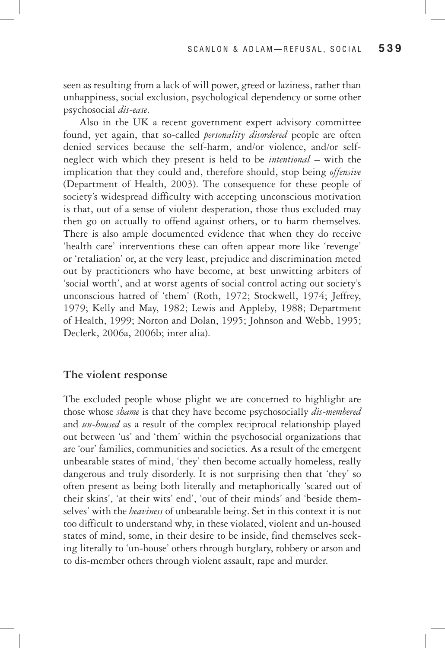seen as resulting from a lack of will power, greed or laziness, rather than unhappiness, social exclusion, psychological dependency or some other psychosocial *dis-ease*.

Also in the UK a recent government expert advisory committee found, yet again, that so-called *personality disordered* people are often denied services because the self-harm, and/or violence, and/or selfneglect with which they present is held to be *intentional* – with the implication that they could and, therefore should, stop being *offensive* (Department of Health, 2003). The consequence for these people of society's widespread difficulty with accepting unconscious motivation is that, out of a sense of violent desperation, those thus excluded may then go on actually to offend against others, or to harm themselves. There is also ample documented evidence that when they do receive 'health care' interventions these can often appear more like 'revenge' or 'retaliation' or, at the very least, prejudice and discrimination meted out by practitioners who have become, at best unwitting arbiters of 'social worth', and at worst agents of social control acting out society's unconscious hatred of 'them' (Roth, 1972; Stockwell, 1974; Jeffrey, 1979; Kelly and May, 1982; Lewis and Appleby, 1988; Department of Health, 1999; Norton and Dolan, 1995; Johnson and Webb, 1995; Declerk, 2006a, 2006b; inter alia).

#### **The violent response**

The excluded people whose plight we are concerned to highlight are those whose *shame* is that they have become psychosocially *dis-membered*  and *un-housed* as a result of the complex reciprocal relationship played out between 'us' and 'them' within the psychosocial organizations that are 'our' families, communities and societies. As a result of the emergent unbearable states of mind, 'they' then become actually homeless, really dangerous and truly disorderly. It is not surprising then that 'they' so often present as being both literally and metaphorically 'scared out of their skins', 'at their wits' end', 'out of their minds' and 'beside themselves' with the *heaviness* of unbearable being. Set in this context it is not too difficult to understand why, in these violated, violent and un-housed states of mind, some, in their desire to be inside, find themselves seeking literally to 'un-house' others through burglary, robbery or arson and to dis-member others through violent assault, rape and murder.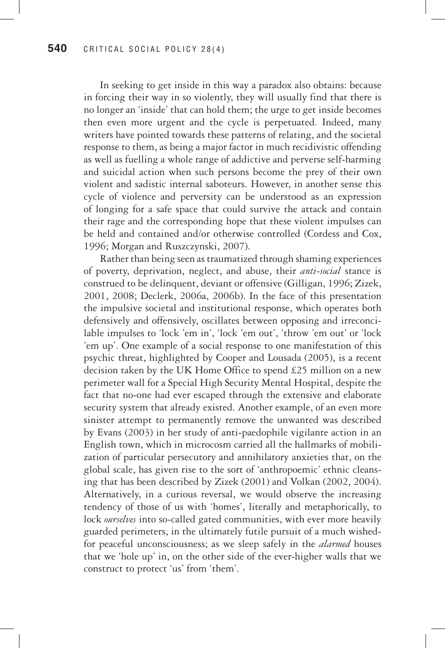In seeking to get inside in this way a paradox also obtains: because in forcing their way in so violently, they will usually find that there is no longer an 'inside' that can hold them; the urge to get inside becomes then even more urgent and the cycle is perpetuated. Indeed, many writers have pointed towards these patterns of relating, and the societal response to them, as being a major factor in much recidivistic offending as well as fuelling a whole range of addictive and perverse self-harming and suicidal action when such persons become the prey of their own violent and sadistic internal saboteurs. However, in another sense this cycle of violence and perversity can be understood as an expression of longing for a safe space that could survive the attack and contain their rage and the corresponding hope that these violent impulses can be held and contained and/or otherwise controlled (Cordess and Cox, 1996; Morgan and Ruszczynski, 2007).

Rather than being seen as traumatized through shaming experiences of poverty, deprivation, neglect, and abuse, their *anti-social* stance is construed to be delinquent, deviant or offensive (Gilligan, 1996; Zizek, 2001, 2008; Declerk, 2006a, 2006b). In the face of this presentation the impulsive societal and institutional response, which operates both defensively and offensively, oscillates between opposing and irreconcilable impulses to 'lock 'em in', 'lock 'em out', 'throw 'em out' or 'lock 'em up'. One example of a social response to one manifestation of this psychic threat, highlighted by Cooper and Lousada (2005), is a recent decision taken by the UK Home Office to spend £25 million on a new perimeter wall for a Special High Security Mental Hospital, despite the fact that no-one had ever escaped through the extensive and elaborate security system that already existed. Another example, of an even more sinister attempt to permanently remove the unwanted was described by Evans (2003) in her study of anti-paedophile vigilante action in an English town, which in microcosm carried all the hallmarks of mobilization of particular persecutory and annihilatory anxieties that, on the global scale, has given rise to the sort of 'anthropoemic' ethnic cleansing that has been described by Zizek (2001) and Volkan (2002, 2004). Alternatively, in a curious reversal, we would observe the increasing tendency of those of us with 'homes', literally and metaphorically, to lock *ourselves* into so-called gated communities, with ever more heavily guarded perimeters, in the ultimately futile pursuit of a much wishedfor peaceful unconsciousness; as we sleep safely in the *alarmed* houses that we 'hole up' in, on the other side of the ever-higher walls that we construct to protect 'us' from 'them'.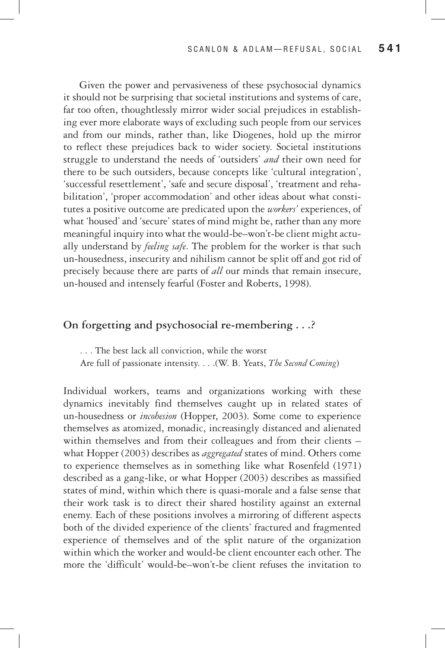Given the power and pervasiveness of these psychosocial dynamics it should not be surprising that societal institutions and systems of care, far too often, thoughtlessly mirror wider social prejudices in establishing ever more elaborate ways of excluding such people from our services and from our minds, rather than, like Diogenes, hold up the mirror to reflect these prejudices back to wider society. Societal institutions struggle to understand the needs of 'outsiders' *and* their own need for there to be such outsiders, because concepts like 'cultural integration', 'successful resettlement', 'safe and secure disposal', 'treatment and rehabilitation', 'proper accommodation' and other ideas about what constitutes a positive outcome are predicated upon the *workers'* experiences, of what 'housed' and 'secure' states of mind might be, rather than any more meaningful inquiry into what the would-be–won't-be client might actually understand by *feeling safe*. The problem for the worker is that such un-housedness, insecurity and nihilism cannot be split off and got rid of precisely because there are parts of *all* our minds that remain insecure, un-housed and intensely fearful (Foster and Roberts, 1998).

## **On forgetting and psychosocial re-membering . . .?**

. . . The best lack all conviction, while the worst

Are full of passionate intensity. . . .(W. B. Yeats, *The Second Coming*)

Individual workers, teams and organizations working with these dynamics inevitably find themselves caught up in related states of un-housedness or *incohesion* (Hopper, 2003). Some come to experience themselves as atomized, monadic, increasingly distanced and alienated within themselves and from their colleagues and from their clients – what Hopper (2003) describes as *aggregated* states of mind. Others come to experience themselves as in something like what Rosenfeld (1971) described as a gang-like, or what Hopper (2003) describes as massified states of mind, within which there is quasi-morale and a false sense that their work task is to direct their shared hostility against an external enemy. Each of these positions involves a mirroring of different aspects both of the divided experience of the clients' fractured and fragmented experience of themselves and of the split nature of the organization within which the worker and would-be client encounter each other. The more the 'difficult' would-be–won't-be client refuses the invitation to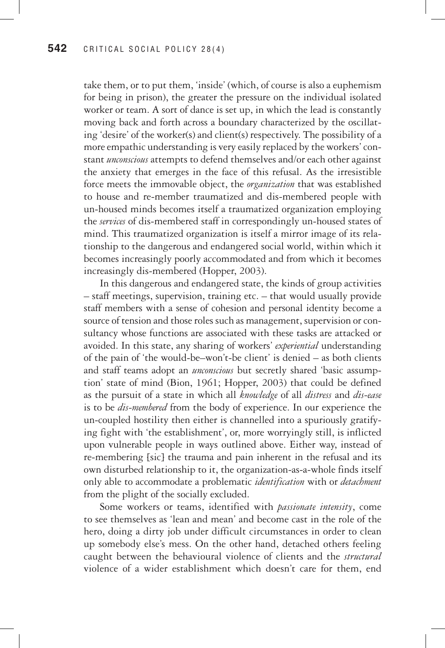take them, or to put them, 'inside' (which, of course is also a euphemism for being in prison), the greater the pressure on the individual isolated worker or team. A sort of dance is set up, in which the lead is constantly moving back and forth across a boundary characterized by the oscillating 'desire' of the worker(s) and client(s) respectively. The possibility of a more empathic understanding is very easily replaced by the workers' constant *unconscious* attempts to defend themselves and/or each other against the anxiety that emerges in the face of this refusal. As the irresistible force meets the immovable object, the *organization* that was established to house and re-member traumatized and dis-membered people with un-housed minds becomes itself a traumatized organization employing the *services* of dis-membered staff in correspondingly un-housed states of mind. This traumatized organization is itself a mirror image of its relationship to the dangerous and endangered social world, within which it becomes increasingly poorly accommodated and from which it becomes increasingly dis-membered (Hopper, 2003).

In this dangerous and endangered state, the kinds of group activities – staff meetings, supervision, training etc. – that would usually provide staff members with a sense of cohesion and personal identity become a source of tension and those roles such as management, supervision or consultancy whose functions are associated with these tasks are attacked or avoided. In this state, any sharing of workers' *experiential* understanding of the pain of 'the would-be–won't-be client' is denied – as both clients and staff teams adopt an *unconscious* but secretly shared 'basic assumption' state of mind (Bion, 1961; Hopper, 2003) that could be defined as the pursuit of a state in which all *knowledge* of all *distress* and *dis-ease* is to be *dis-membered* from the body of experience. In our experience the un-coupled hostility then either is channelled into a spuriously gratifying fight with 'the establishment', or, more worryingly still, is inflicted upon vulnerable people in ways outlined above. Either way, instead of re-membering [sic] the trauma and pain inherent in the refusal and its own disturbed relationship to it, the organization-as-a-whole finds itself only able to accommodate a problematic *identification* with or *detachment* from the plight of the socially excluded.

Some workers or teams, identified with *passionate intensity*, come to see themselves as 'lean and mean' and become cast in the role of the hero, doing a dirty job under difficult circumstances in order to clean up somebody else's mess. On the other hand, detached others feeling caught between the behavioural violence of clients and the *structural* violence of a wider establishment which doesn't care for them, end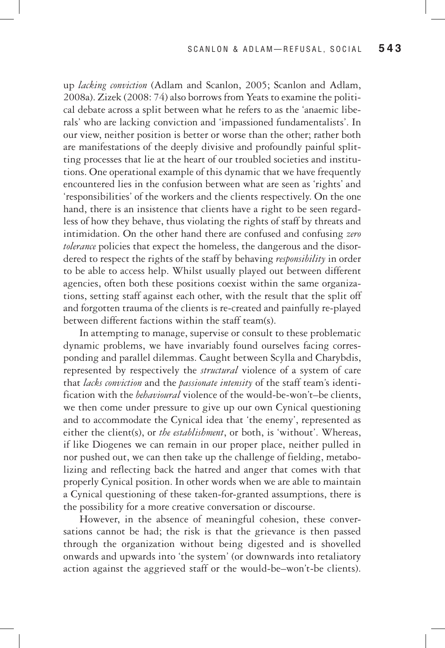up *lacking conviction* (Adlam and Scanlon, 2005; Scanlon and Adlam, 2008a). Zizek (2008: 74) also borrows from Yeats to examine the political debate across a split between what he refers to as the 'anaemic liberals' who are lacking conviction and 'impassioned fundamentalists'. In our view, neither position is better or worse than the other; rather both are manifestations of the deeply divisive and profoundly painful splitting processes that lie at the heart of our troubled societies and institutions. One operational example of this dynamic that we have frequently encountered lies in the confusion between what are seen as 'rights' and 'responsibilities' of the workers and the clients respectively. On the one hand, there is an insistence that clients have a right to be seen regardless of how they behave, thus violating the rights of staff by threats and intimidation. On the other hand there are confused and confusing *zero tolerance* policies that expect the homeless, the dangerous and the disordered to respect the rights of the staff by behaving *responsibility* in order to be able to access help. Whilst usually played out between different agencies, often both these positions coexist within the same organizations, setting staff against each other, with the result that the split off and forgotten trauma of the clients is re-created and painfully re-played between different factions within the staff team(s).

In attempting to manage, supervise or consult to these problematic dynamic problems, we have invariably found ourselves facing corresponding and parallel dilemmas. Caught between Scylla and Charybdis, represented by respectively the *structural* violence of a system of care that *lacks conviction* and the *passionate intensity* of the staff team's identification with the *behavioural* violence of the would-be-won't–be clients, we then come under pressure to give up our own Cynical questioning and to accommodate the Cynical idea that 'the enemy', represented as either the client(s), or *the establishment*, or both, is 'without'. Whereas, if like Diogenes we can remain in our proper place, neither pulled in nor pushed out, we can then take up the challenge of fielding, metabolizing and reflecting back the hatred and anger that comes with that properly Cynical position. In other words when we are able to maintain a Cynical questioning of these taken-for-granted assumptions, there is the possibility for a more creative conversation or discourse.

However, in the absence of meaningful cohesion, these conversations cannot be had; the risk is that the grievance is then passed through the organization without being digested and is shovelled onwards and upwards into 'the system' (or downwards into retaliatory action against the aggrieved staff or the would-be–won't-be clients).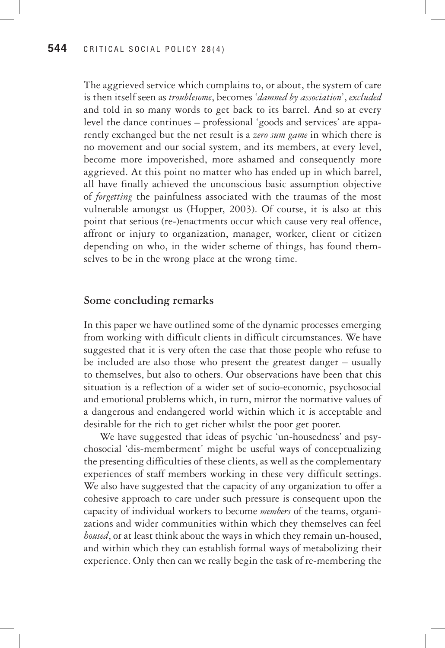The aggrieved service which complains to, or about, the system of care is then itself seen as *troublesome*, becomes '*damned by association*', *excluded* and told in so many words to get back to its barrel. And so at every level the dance continues – professional 'goods and services' are apparently exchanged but the net result is a *zero sum game* in which there is no movement and our social system, and its members, at every level, become more impoverished, more ashamed and consequently more aggrieved. At this point no matter who has ended up in which barrel, all have finally achieved the unconscious basic assumption objective of *forgetting* the painfulness associated with the traumas of the most vulnerable amongst us (Hopper, 2003). Of course, it is also at this point that serious (re-)enactments occur which cause very real offence, affront or injury to organization, manager, worker, client or citizen depending on who, in the wider scheme of things, has found themselves to be in the wrong place at the wrong time.

#### **Some concluding remarks**

In this paper we have outlined some of the dynamic processes emerging from working with difficult clients in difficult circumstances. We have suggested that it is very often the case that those people who refuse to be included are also those who present the greatest danger – usually to themselves, but also to others. Our observations have been that this situation is a reflection of a wider set of socio-economic, psychosocial and emotional problems which, in turn, mirror the normative values of a dangerous and endangered world within which it is acceptable and desirable for the rich to get richer whilst the poor get poorer.

We have suggested that ideas of psychic 'un-housedness' and psychosocial 'dis-memberment' might be useful ways of conceptualizing the presenting difficulties of these clients, as well as the complementary experiences of staff members working in these very difficult settings. We also have suggested that the capacity of any organization to offer a cohesive approach to care under such pressure is consequent upon the capacity of individual workers to become *members* of the teams, organizations and wider communities within which they themselves can feel *housed*, or at least think about the ways in which they remain un-housed, and within which they can establish formal ways of metabolizing their experience. Only then can we really begin the task of re-membering the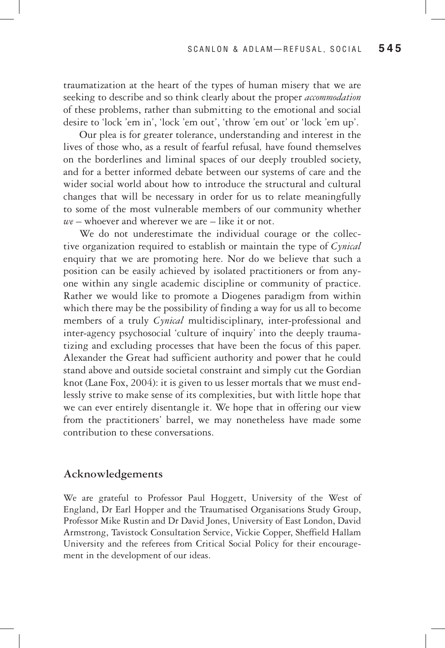traumatization at the heart of the types of human misery that we are seeking to describe and so think clearly about the proper *accommodation* of these problems, rather than submitting to the emotional and social desire to 'lock 'em in', 'lock 'em out', 'throw 'em out' or 'lock 'em up'.

Our plea is for greater tolerance, understanding and interest in the lives of those who, as a result of fearful refusal*,* have found themselves on the borderlines and liminal spaces of our deeply troubled society, and for a better informed debate between our systems of care and the wider social world about how to introduce the structural and cultural changes that will be necessary in order for us to relate meaningfully to some of the most vulnerable members of our community whether *we* – whoever and wherever we are – like it or not.

We do not underestimate the individual courage or the collective organization required to establish or maintain the type of *Cynical* enquiry that we are promoting here. Nor do we believe that such a position can be easily achieved by isolated practitioners or from anyone within any single academic discipline or community of practice. Rather we would like to promote a Diogenes paradigm from within which there may be the possibility of finding a way for us all to become members of a truly *Cynical* multidisciplinary, inter-professional and inter-agency psychosocial 'culture of inquiry' into the deeply traumatizing and excluding processes that have been the focus of this paper. Alexander the Great had sufficient authority and power that he could stand above and outside societal constraint and simply cut the Gordian knot (Lane Fox, 2004): it is given to us lesser mortals that we must endlessly strive to make sense of its complexities, but with little hope that we can ever entirely disentangle it. We hope that in offering our view from the practitioners' barrel, we may nonetheless have made some contribution to these conversations.

#### **Acknowledgements**

We are grateful to Professor Paul Hoggett, University of the West of England, Dr Earl Hopper and the Traumatised Organisations Study Group, Professor Mike Rustin and Dr David Jones, University of East London, David Armstrong, Tavistock Consultation Service, Vickie Copper, Sheffield Hallam University and the referees from Critical Social Policy for their encouragement in the development of our ideas.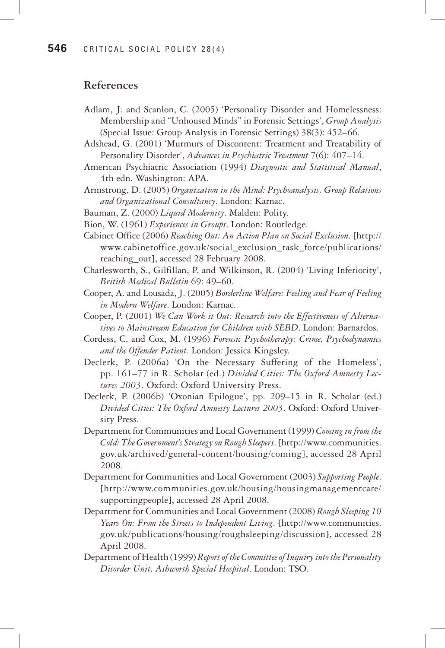## **References**

- Adlam, J. and Scanlon, C. (2005) 'Personality Disorder and Homelessness: Membership and "Unhoused Minds" in Forensic Settings', *Group Analysis* (Special Issue: Group Analysis in Forensic Settings) 38(3): 452–66.
- Adshead, G. (2001) 'Murmurs of Discontent: Treatment and Treatability of Personality Disorder', *Advances in Psychiatric Treatment* 7(6): 407–14.
- American Psychiatric Association (1994) *Diagnostic and Statistical Manual*, 4th edn. Washington: APA.
- Armstrong, D. (2005) *Organization in the Mind: Psychoanalysis, Group Relations and Organizational Consultancy*. London: Karnac.
- Bauman, Z. (2000) *Liquid Modernity*. Malden: Polity.
- Bion, W. (1961) *Experiences in Groups*. London: Routledge.
- Cabinet Office (2006) *Reaching Out: An Action Plan on Social Exclusion*. [http:// www.cabinetoffice.gov.uk/social\_exclusion\_task\_force/publications/ reaching out], accessed 28 February 2008.
- Charlesworth, S., Gilfillan, P. and Wilkinson, R. (2004) 'Living Inferiority', *British Medical Bulletin* 69: 49–60.
- Cooper, A. and Lousada, J. (2005) *Borderline Welfare: Feeling and Fear of Feeling in Modern Welfare*. London: Karnac.
- Cooper, P. (2001) *We Can Work it Out: Research into the Effectiveness of Alternatives to Mainstream Education for Children with SEBD*. London: Barnardos.
- Cordess, C. and Cox, M. (1996) *Forensic Psychotherapy: Crime, Psychodynamics and the Offender Patient*. London: Jessica Kingsley.
- Declerk, P. (2006a) 'On the Necessary Suffering of the Homeless', pp. 161–77 in R. Scholar (ed.) *Divided Cities: The Oxford Amnesty Lectures 2003*. Oxford: Oxford University Press.
- Declerk, P. (2006b) 'Oxonian Epilogue', pp. 209–15 in R. Scholar (ed.) *Divided Cities: The Oxford Amnesty Lectures 2003*. Oxford: Oxford University Press.
- Department for Communities and Local Government (1999) *Coming in from the Cold: The Government's Strategy on Rough Sleepers*. [http://www.communities. gov.uk/archived/general-content/housing/coming], accessed 28 April 2008.
- Department for Communities and Local Government (2003) *Supporting People*. [http://www.communities.gov.uk/housing/housingmanagementcare/ supportingpeople], accessed 28 April 2008.
- Department for Communities and Local Government (2008) *Rough Sleeping 10 Years On: From the Streets to Independent Living*. [http://www.communities. gov.uk/publications/housing/roughsleeping/discussion], accessed 28 April 2008.
- Department of Health (1999) *Report of the Committee of Inquiry into the Personality Disorder Unit, Ashworth Special Hospital*. London: TSO.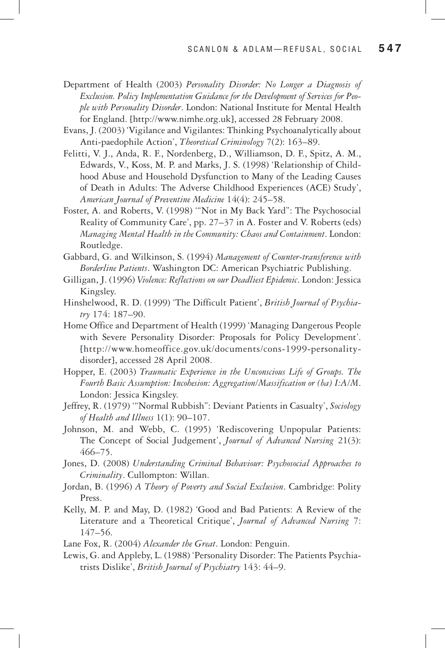- Department of Health (2003) *Personality Disorder: No Longer a Diagnosis of Exclusion. Policy Implementation Guidance for the Development of Services for People with Personality Disorder*. London: National Institute for Mental Health for England. [http://www.nimhe.org.uk], accessed 28 February 2008.
- Evans, J. (2003) 'Vigilance and Vigilantes: Thinking Psychoanalytically about Anti-paedophile Action', *Theoretical Criminology* 7(2): 163–89.
- Felitti, V. J., Anda, R. F., Nordenberg, D., Williamson, D. F., Spitz, A. M., Edwards, V., Koss, M. P. and Marks, J. S. (1998) 'Relationship of Childhood Abuse and Household Dysfunction to Many of the Leading Causes of Death in Adults: The Adverse Childhood Experiences (ACE) Study', *American Journal of Preventine Medicine* 14(4): 245–58.
- Foster, A. and Roberts, V. (1998) '"Not in My Back Yard": The Psychosocial Reality of Community Care', pp. 27–37 in A. Foster and V. Roberts (eds) *Managing Mental Health in the Community: Chaos and Containment*. London: Routledge.
- Gabbard, G. and Wilkinson, S. (1994) *Management of Counter-transference with Borderline Patients*. Washington DC: American Psychiatric Publishing.
- Gilligan, J. (1996) *Violence: Reflections on our Deadliest Epidemic*. London: Jessica Kingsley.
- Hinshelwood, R. D. (1999) 'The Difficult Patient', *British Journal of Psychiatry* 174: 187–90.
- Home Office and Department of Health (1999) 'Managing Dangerous People with Severe Personality Disorder: Proposals for Policy Development'. [http://www.homeoffice.gov.uk/documents/cons-1999-personalitydisorder], accessed 28 April 2008.
- Hopper, E. (2003) *Traumatic Experience in the Unconscious Life of Groups. The Fourth Basic Assumption: Incohesion: Aggregation/Massification or (ba) I:A/M*. London: Jessica Kingsley.
- Jeffrey, R. (1979) '"Normal Rubbish": Deviant Patients in Casualty', *Sociology of Health and Illness* 1(1): 90–107.
- Johnson, M. and Webb, C. (1995) 'Rediscovering Unpopular Patients: The Concept of Social Judgement', *Journal of Advanced Nursing* 21(3): 466–75.
- Jones, D. (2008) *Understanding Criminal Behaviour: Psychosocial Approaches to Criminality*. Cullompton: Willan.
- Jordan, B. (1996) *A Theory of Poverty and Social Exclusion*. Cambridge: Polity Press.
- Kelly, M. P. and May, D. (1982) 'Good and Bad Patients: A Review of the Literature and a Theoretical Critique', *Journal of Advanced Nursing* 7: 147–56.
- Lane Fox, R. (2004) *Alexander the Great*. London: Penguin.
- Lewis, G. and Appleby, L. (1988) 'Personality Disorder: The Patients Psychiatrists Dislike', *British Journal of Psychiatry* 143: 44–9.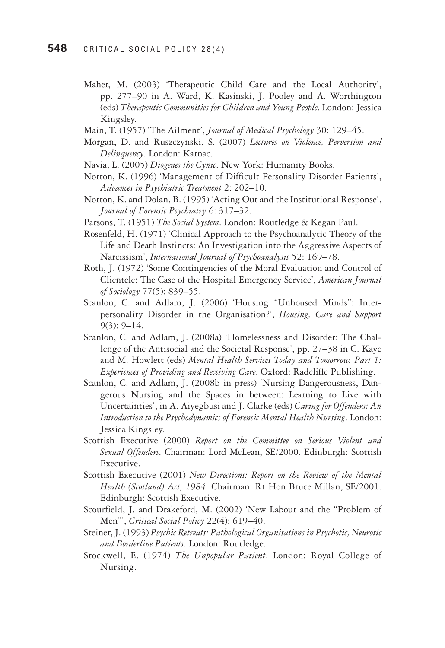- Maher, M. (2003) 'Therapeutic Child Care and the Local Authority', pp. 277–90 in A. Ward, K. Kasinski, J. Pooley and A. Worthington (eds) *Therapeutic Communities for Children and Young People*. London: Jessica Kingsley.
- Main, T. (1957) 'The Ailment', *Journal of Medical Psychology* 30: 129–45.
- Morgan, D. and Ruszczynski, S. (2007) *Lectures on Violence, Perversion and Delinquency*. London: Karnac.
- Navia, L. (2005) *Diogenes the Cynic*. New York: Humanity Books.
- Norton, K. (1996) 'Management of Difficult Personality Disorder Patients', *Advances in Psychiatric Treatment* 2: 202–10.
- Norton, K. and Dolan, B. (1995) 'Acting Out and the Institutional Response', *Journal of Forensic Psychiatry* 6: 317–32.
- Parsons, T. (1951) *The Social System*. London: Routledge & Kegan Paul.
- Rosenfeld, H. (1971) 'Clinical Approach to the Psychoanalytic Theory of the Life and Death Instincts: An Investigation into the Aggressive Aspects of Narcissism', *International Journal of Psychoanalysis* 52: 169–78.
- Roth, J. (1972) 'Some Contingencies of the Moral Evaluation and Control of Clientele: The Case of the Hospital Emergency Service', *American Journal of Sociology* 77(5): 839–55.
- Scanlon, C. and Adlam, J. (2006) 'Housing "Unhoused Minds": Interpersonality Disorder in the Organisation?', *Housing, Care and Support*  $9(3)$ :  $9-14$ .
- Scanlon, C. and Adlam, J. (2008a) 'Homelessness and Disorder: The Challenge of the Antisocial and the Societal Response', pp. 27–38 in C. Kaye and M. Howlett (eds) *Mental Health Services Today and Tomorrow. Part 1: Experiences of Providing and Receiving Care*. Oxford: Radcliffe Publishing.
- Scanlon, C. and Adlam, J. (2008b in press) 'Nursing Dangerousness, Dangerous Nursing and the Spaces in between: Learning to Live with Uncertainties', in A. Aiyegbusi and J. Clarke (eds) *Caring for Offenders: An Introduction to the Psychodynamics of Forensic Mental Health Nursing*. London: Jessica Kingsley.
- Scottish Executive (2000) *Report on the Committee on Serious Violent and Sexual Offenders*. Chairman: Lord McLean, SE/2000. Edinburgh: Scottish Executive.
- Scottish Executive (2001) *New Directions: Report on the Review of the Mental Health (Scotland) Act, 1984*. Chairman: Rt Hon Bruce Millan, SE/2001. Edinburgh: Scottish Executive.
- Scourfield, J. and Drakeford, M. (2002) 'New Labour and the "Problem of Men"', *Critical Social Policy* 22(4): 619–40.
- Steiner, J. (1993) *Psychic Retreats: Pathological Organisations in Psychotic, Neurotic and Borderline Patients*. London: Routledge.
- Stockwell, E. (1974) *The Unpopular Patient*. London: Royal College of Nursing.